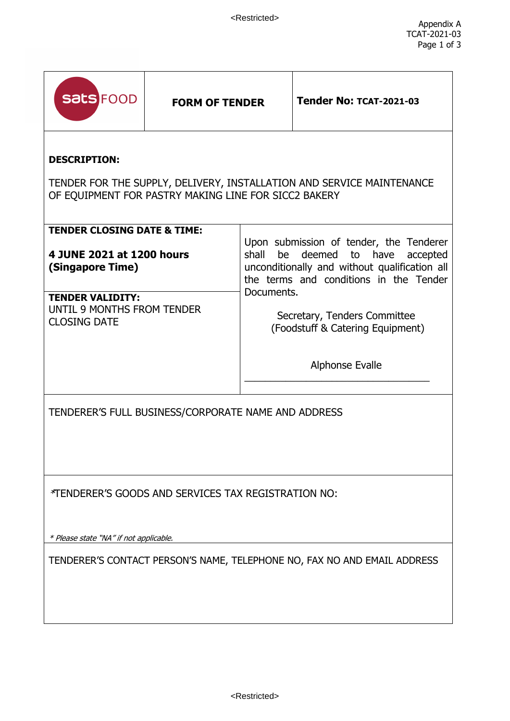| <b>Sats FOOD</b>                                                                                                                                     | <b>FORM OF TENDER</b> |                                                                                                                                                                                                  | <b>Tender No: TCAT-2021-03</b> |
|------------------------------------------------------------------------------------------------------------------------------------------------------|-----------------------|--------------------------------------------------------------------------------------------------------------------------------------------------------------------------------------------------|--------------------------------|
| <b>DESCRIPTION:</b><br>TENDER FOR THE SUPPLY, DELIVERY, INSTALLATION AND SERVICE MAINTENANCE<br>OF EQUIPMENT FOR PASTRY MAKING LINE FOR SICC2 BAKERY |                       |                                                                                                                                                                                                  |                                |
| <b>TENDER CLOSING DATE &amp; TIME:</b><br>4 JUNE 2021 at 1200 hours<br>(Singapore Time)                                                              |                       | Upon submission of tender, the Tenderer<br>shall<br>deemed to<br>be<br>have<br>accepted<br>unconditionally and without qualification all<br>the terms and conditions in the Tender<br>Documents. |                                |
| <b>TENDER VALIDITY:</b><br>UNTIL 9 MONTHS FROM TENDER<br><b>CLOSING DATE</b>                                                                         |                       | Secretary, Tenders Committee<br>(Foodstuff & Catering Equipment)                                                                                                                                 |                                |
|                                                                                                                                                      |                       | <b>Alphonse Evalle</b>                                                                                                                                                                           |                                |
| TENDERER'S FULL BUSINESS/CORPORATE NAME AND ADDRESS                                                                                                  |                       |                                                                                                                                                                                                  |                                |
| *TENDERER'S GOODS AND SERVICES TAX REGISTRATION NO:                                                                                                  |                       |                                                                                                                                                                                                  |                                |
| * Please state "NA" if not applicable.<br>TENDERER'S CONTACT PERSON'S NAME, TELEPHONE NO, FAX NO AND EMAIL ADDRESS                                   |                       |                                                                                                                                                                                                  |                                |
|                                                                                                                                                      |                       |                                                                                                                                                                                                  |                                |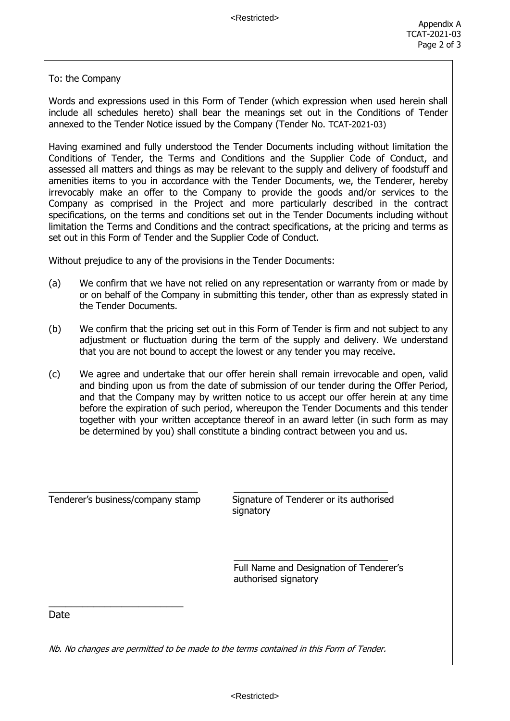To: the Company

Words and expressions used in this Form of Tender (which expression when used herein shall include all schedules hereto) shall bear the meanings set out in the Conditions of Tender annexed to the Tender Notice issued by the Company (Tender No. TCAT-2021-03)

Having examined and fully understood the Tender Documents including without limitation the Conditions of Tender, the Terms and Conditions and the Supplier Code of Conduct, and assessed all matters and things as may be relevant to the supply and delivery of foodstuff and amenities items to you in accordance with the Tender Documents, we, the Tenderer, hereby irrevocably make an offer to the Company to provide the goods and/or services to the Company as comprised in the Project and more particularly described in the contract specifications, on the terms and conditions set out in the Tender Documents including without limitation the Terms and Conditions and the contract specifications, at the pricing and terms as set out in this Form of Tender and the Supplier Code of Conduct.

Without prejudice to any of the provisions in the Tender Documents:

- (a) We confirm that we have not relied on any representation or warranty from or made by or on behalf of the Company in submitting this tender, other than as expressly stated in the Tender Documents.
- (b) We confirm that the pricing set out in this Form of Tender is firm and not subject to any adjustment or fluctuation during the term of the supply and delivery. We understand that you are not bound to accept the lowest or any tender you may receive.
- (c) We agree and undertake that our offer herein shall remain irrevocable and open, valid and binding upon us from the date of submission of our tender during the Offer Period, and that the Company may by written notice to us accept our offer herein at any time before the expiration of such period, whereupon the Tender Documents and this tender together with your written acceptance thereof in an award letter (in such form as may be determined by you) shall constitute a binding contract between you and us.

\_\_\_\_\_\_\_\_\_\_\_\_\_\_\_\_\_\_\_\_\_\_\_\_

Tenderer's business/company stamp Signature of Tenderer or its authorised signatory

> Full Name and Designation of Tenderer's authorised signatory

\_\_\_\_\_\_\_\_\_\_\_\_\_\_\_\_\_\_\_\_\_\_\_\_\_\_\_\_\_\_

Date

Nb. No changes are permitted to be made to the terms contained in this Form of Tender.

 $\_$  , and the set of the set of the set of the set of the set of the set of the set of the set of the set of the set of the set of the set of the set of the set of the set of the set of the set of the set of the set of th